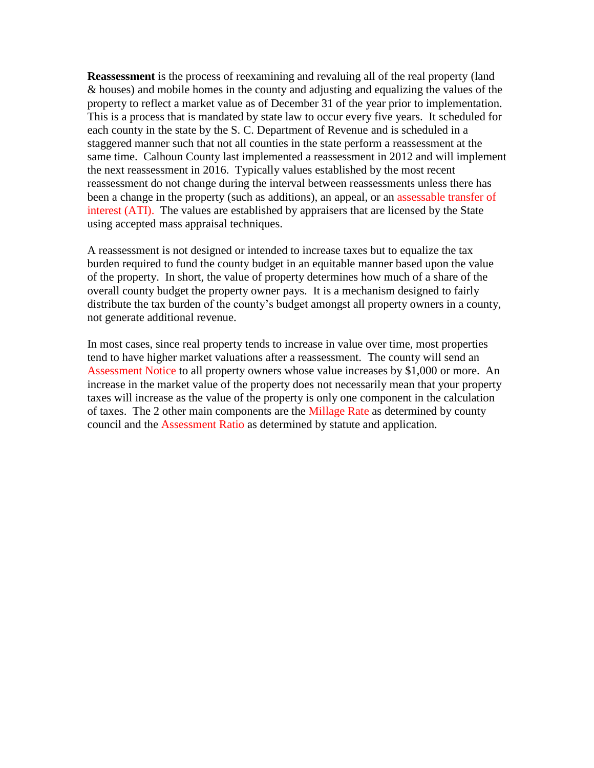**Reassessment** is the process of reexamining and revaluing all of the real property (land & houses) and mobile homes in the county and adjusting and equalizing the values of the property to reflect a market value as of December 31 of the year prior to implementation. This is a process that is mandated by state law to occur every five years. It scheduled for each county in the state by the S. C. Department of Revenue and is scheduled in a staggered manner such that not all counties in the state perform a reassessment at the same time. Calhoun County last implemented a reassessment in 2012 and will implement the next reassessment in 2016. Typically values established by the most recent reassessment do not change during the interval between reassessments unless there has been a change in the property (such as additions), an appeal, or an assessable transfer of interest (ATI). The values are established by appraisers that are licensed by the State using accepted mass appraisal techniques.

A reassessment is not designed or intended to increase taxes but to equalize the tax burden required to fund the county budget in an equitable manner based upon the value of the property. In short, the value of property determines how much of a share of the overall county budget the property owner pays. It is a mechanism designed to fairly distribute the tax burden of the county's budget amongst all property owners in a county, not generate additional revenue.

In most cases, since real property tends to increase in value over time, most properties tend to have higher market valuations after a reassessment. The county will send an Assessment Notice to all property owners whose value increases by \$1,000 or more. An increase in the market value of the property does not necessarily mean that your property taxes will increase as the value of the property is only one component in the calculation of taxes. The 2 other main components are the Millage Rate as determined by county council and the Assessment Ratio as determined by statute and application.